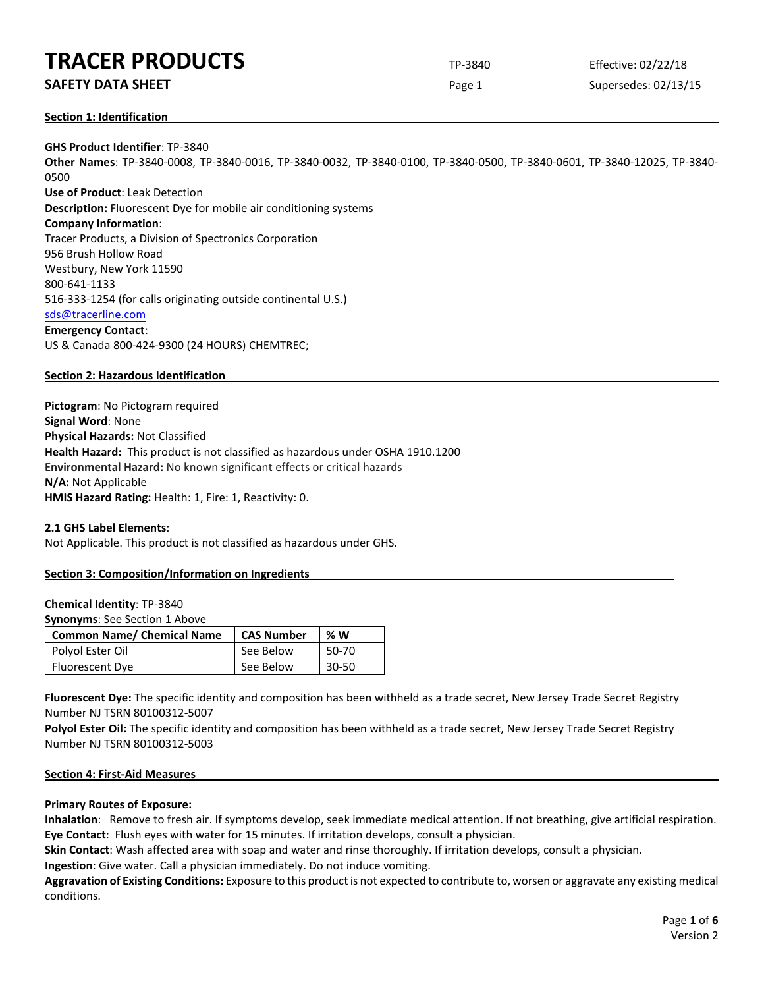# **SAFETY DATA SHEET** SUPERFOUR CONSIDERING Page 1 Supersedes: 02/13/15

### **Section 1: Identification**

**GHS Product Identifier**: TP-3840 **Other Names**: TP-3840-0008, TP-3840-0016, TP-3840-0032, TP-3840-0100, TP-3840-0500, TP-3840-0601, TP-3840-12025, TP-3840- 0500 **Use of Product**: Leak Detection **Description:** Fluorescent Dye for mobile air conditioning systems **Company Information**: Tracer Products, a Division of Spectronics Corporation 956 Brush Hollow Road Westbury, New York 11590 800-641-1133 516-333-1254 (for calls originating outside continental U.S.) [sds@tracerline.com](mailto:sds@tracerline.com) **Emergency Contact**: US & Canada 800-424-9300 (24 HOURS) CHEMTREC;

# **Section 2: Hazardous Identification**

**Pictogram**: No Pictogram required **Signal Word**: None **Physical Hazards:** Not Classified **Health Hazard:** This product is not classified as hazardous under OSHA 1910.1200 **Environmental Hazard:** No known significant effects or critical hazards **N/A:** Not Applicable **HMIS Hazard Rating:** Health: 1, Fire: 1, Reactivity: 0.

#### **2.1 GHS Label Elements**:

Not Applicable. This product is not classified as hazardous under GHS.

# **Section 3: Composition/Information on Ingredients**

#### **Chemical Identity**: TP-3840

**Synonyms**: See Section 1 Above

| <b>Common Name/ Chemical Name</b> | <b>CAS Number</b> | % W   |
|-----------------------------------|-------------------|-------|
| Polyol Ester Oil                  | See Below         | 50-70 |
| Fluorescent Dye                   | See Below         | 30-50 |

**Fluorescent Dye:** The specific identity and composition has been withheld as a trade secret, New Jersey Trade Secret Registry Number NJ TSRN 80100312-5007

Polyol Ester Oil: The specific identity and composition has been withheld as a trade secret, New Jersey Trade Secret Registry Number NJ TSRN 80100312-5003

#### **Section 4: First-Aid Measures**

# **Primary Routes of Exposure:**

**Inhalation**: Remove to fresh air. If symptoms develop, seek immediate medical attention. If not breathing, give artificial respiration. **Eye Contact**: Flush eyes with water for 15 minutes. If irritation develops, consult a physician.

**Skin Contact**: Wash affected area with soap and water and rinse thoroughly. If irritation develops, consult a physician.

**Ingestion**: Give water. Call a physician immediately. Do not induce vomiting.

**Aggravation of Existing Conditions:** Exposure to this product is not expected to contribute to, worsen or aggravate any existing medical conditions.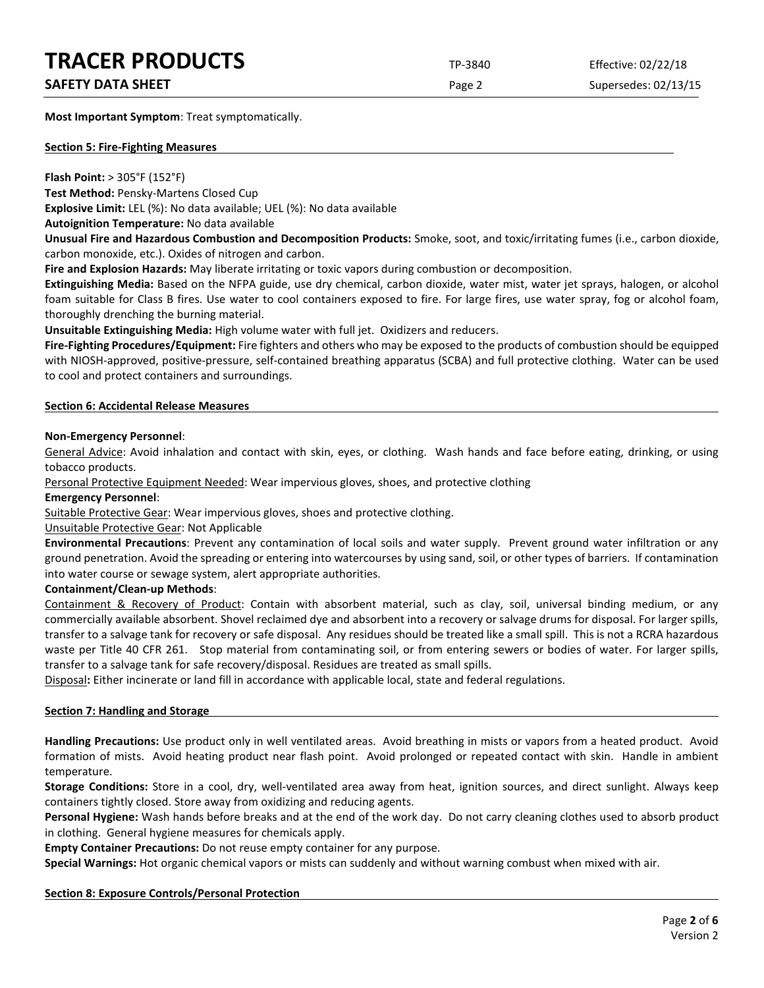# **SAFETY DATA SHEET** SUPERFOUR SAFET ASSESSED A REPORT OF SUPERFOURITY DATA SUPERFOURITY OF SUPERFOURITY OF SUPERFOURITY OF SUPERFOURITY OF SUPERFOURITY OF SUPERFOURITY OF SUPERFOURITY OF SUPERFOURITY OF SUPERFOURITY OF SUP

**Most Important Symptom**: Treat symptomatically.

#### **Section 5: Fire-Fighting Measures**

**Flash Point:** > 305°F (152°F)

**Test Method:** Pensky-Martens Closed Cup

**Explosive Limit:** LEL (%): No data available; UEL (%): No data available

**Autoignition Temperature:** No data available

**Unusual Fire and Hazardous Combustion and Decomposition Products:** Smoke, soot, and toxic/irritating fumes (i.e., carbon dioxide, carbon monoxide, etc.). Oxides of nitrogen and carbon.

**Fire and Explosion Hazards:** May liberate irritating or toxic vapors during combustion or decomposition.

**Extinguishing Media:** Based on the NFPA guide, use dry chemical, carbon dioxide, water mist, water jet sprays, halogen, or alcohol foam suitable for Class B fires. Use water to cool containers exposed to fire. For large fires, use water spray, fog or alcohol foam, thoroughly drenching the burning material.

**Unsuitable Extinguishing Media:** High volume water with full jet. Oxidizers and reducers.

**Fire-Fighting Procedures/Equipment:** Fire fighters and others who may be exposed to the products of combustion should be equipped with NIOSH-approved, positive-pressure, self-contained breathing apparatus (SCBA) and full protective clothing. Water can be used to cool and protect containers and surroundings.

### **Section 6: Accidental Release Measures**

### **Non-Emergency Personnel**:

General Advice: Avoid inhalation and contact with skin, eyes, or clothing. Wash hands and face before eating, drinking, or using tobacco products.

Personal Protective Equipment Needed: Wear impervious gloves, shoes, and protective clothing

#### **Emergency Personnel**:

Suitable Protective Gear: Wear impervious gloves, shoes and protective clothing.

# Unsuitable Protective Gear: Not Applicable

**Environmental Precautions**: Prevent any contamination of local soils and water supply. Prevent ground water infiltration or any ground penetration. Avoid the spreading or entering into watercourses by using sand, soil, or other types of barriers. If contamination into water course or sewage system, alert appropriate authorities.

# **Containment/Clean-up Methods**:

Containment & Recovery of Product: Contain with absorbent material, such as clay, soil, universal binding medium, or any commercially available absorbent. Shovel reclaimed dye and absorbent into a recovery or salvage drums for disposal. For larger spills, transfer to a salvage tank for recovery or safe disposal. Any residues should be treated like a small spill. This is not a RCRA hazardous waste per Title 40 CFR 261. Stop material from contaminating soil, or from entering sewers or bodies of water. For larger spills, transfer to a salvage tank for safe recovery/disposal. Residues are treated as small spills.

Disposal**:** Either incinerate or land fill in accordance with applicable local, state and federal regulations.

# **Section 7: Handling and Storage**

**Handling Precautions:** Use product only in well ventilated areas. Avoid breathing in mists or vapors from a heated product. Avoid formation of mists. Avoid heating product near flash point. Avoid prolonged or repeated contact with skin. Handle in ambient temperature.

**Storage Conditions:** Store in a cool, dry, well-ventilated area away from heat, ignition sources, and direct sunlight. Always keep containers tightly closed. Store away from oxidizing and reducing agents.

**Personal Hygiene:** Wash hands before breaks and at the end of the work day. Do not carry cleaning clothes used to absorb product in clothing. General hygiene measures for chemicals apply.

**Empty Container Precautions:** Do not reuse empty container for any purpose.

**Special Warnings:** Hot organic chemical vapors or mists can suddenly and without warning combust when mixed with air.

# **Section 8: Exposure Controls/Personal Protection**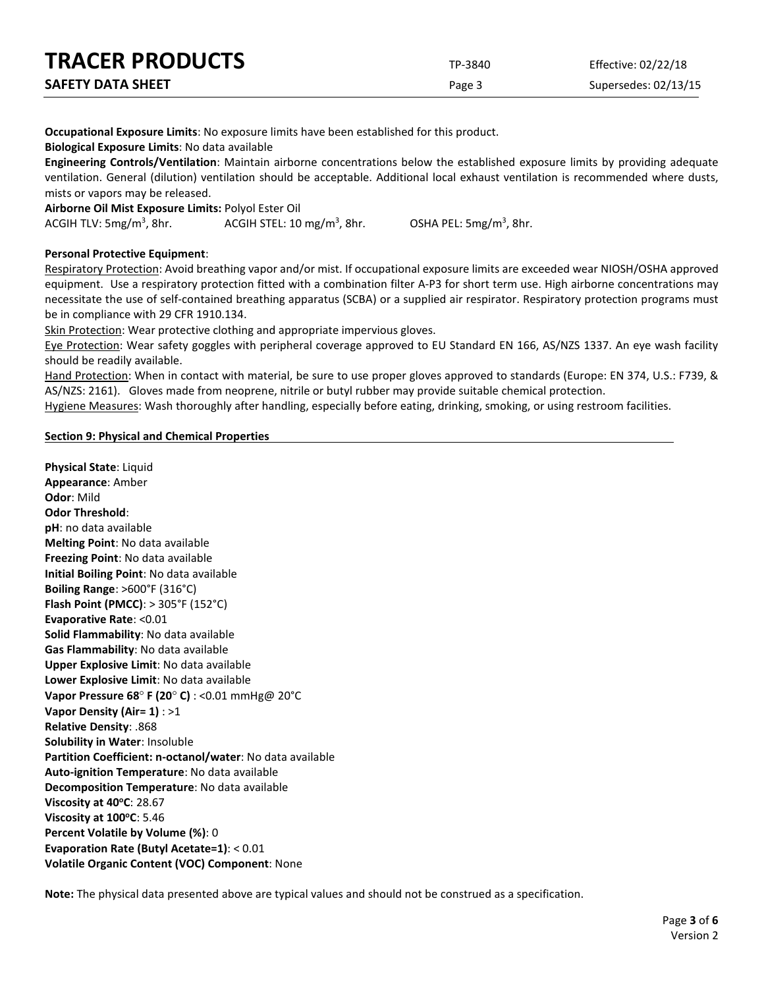| <b>TRACER PRODUCTS</b>   | TP-3840 | Effective: 02/22/18  |
|--------------------------|---------|----------------------|
| <b>SAFETY DATA SHEET</b> | Page 3  | Supersedes: 02/13/15 |

**Occupational Exposure Limits**: No exposure limits have been established for this product.

**Biological Exposure Limits**: No data available

**Engineering Controls/Ventilation**: Maintain airborne concentrations below the established exposure limits by providing adequate ventilation. General (dilution) ventilation should be acceptable. Additional local exhaust ventilation is recommended where dusts, mists or vapors may be released.

**Airborne Oil Mist Exposure Limits:** Polyol Ester Oil

ACGIH TLV:  $5mg/m<sup>3</sup>$ , 8hr. ACGIH STEL:  $10 \text{ mg/m}^3$ , 8hr.

, 8hr. OSHA PEL: 5mg/m3 , 8hr.

### **Personal Protective Equipment**:

Respiratory Protection: Avoid breathing vapor and/or mist. If occupational exposure limits are exceeded wear NIOSH/OSHA approved equipment. Use a respiratory protection fitted with a combination filter A-P3 for short term use. High airborne concentrations may necessitate the use of self-contained breathing apparatus (SCBA) or a supplied air respirator. Respiratory protection programs must be in compliance with 29 CFR 1910.134.

Skin Protection: Wear protective clothing and appropriate impervious gloves.

Eye Protection: Wear safety goggles with peripheral coverage approved to EU Standard EN 166, AS/NZS 1337. An eye wash facility should be readily available.

Hand Protection: When in contact with material, be sure to use proper gloves approved to standards (Europe: EN 374, U.S.: F739, & AS/NZS: 2161). Gloves made from neoprene, nitrile or butyl rubber may provide suitable chemical protection.

Hygiene Measures: Wash thoroughly after handling, especially before eating, drinking, smoking, or using restroom facilities.

#### **Section 9: Physical and Chemical Properties**

**Physical State**: Liquid **Appearance**: Amber **Odor**: Mild **Odor Threshold**: **pH**: no data available **Melting Point**: No data available **Freezing Point**: No data available **Initial Boiling Point**: No data available **Boiling Range**: >600°F (316°C) **Flash Point (PMCC)**: > 305°F (152°C) **Evaporative Rate**: <0.01 **Solid Flammability**: No data available **Gas Flammability**: No data available **Upper Explosive Limit**: No data available **Lower Explosive Limit**: No data available **Vapor Pressure 68**° **F (20**° **C)** : <0.01 mmHg@ 20°C **Vapor Density (Air= 1)** : >1 **Relative Density**: .868 **Solubility in Water**: Insoluble **Partition Coefficient: n-octanol/water**: No data available **Auto-ignition Temperature**: No data available **Decomposition Temperature**: No data available **Viscosity at 40°C: 28.67 Viscosity at 100°C**: 5.46 **Percent Volatile by Volume (%)**: 0 **Evaporation Rate (Butyl Acetate=1)**: < 0.01 **Volatile Organic Content (VOC) Component**: None

**Note:** The physical data presented above are typical values and should not be construed as a specification.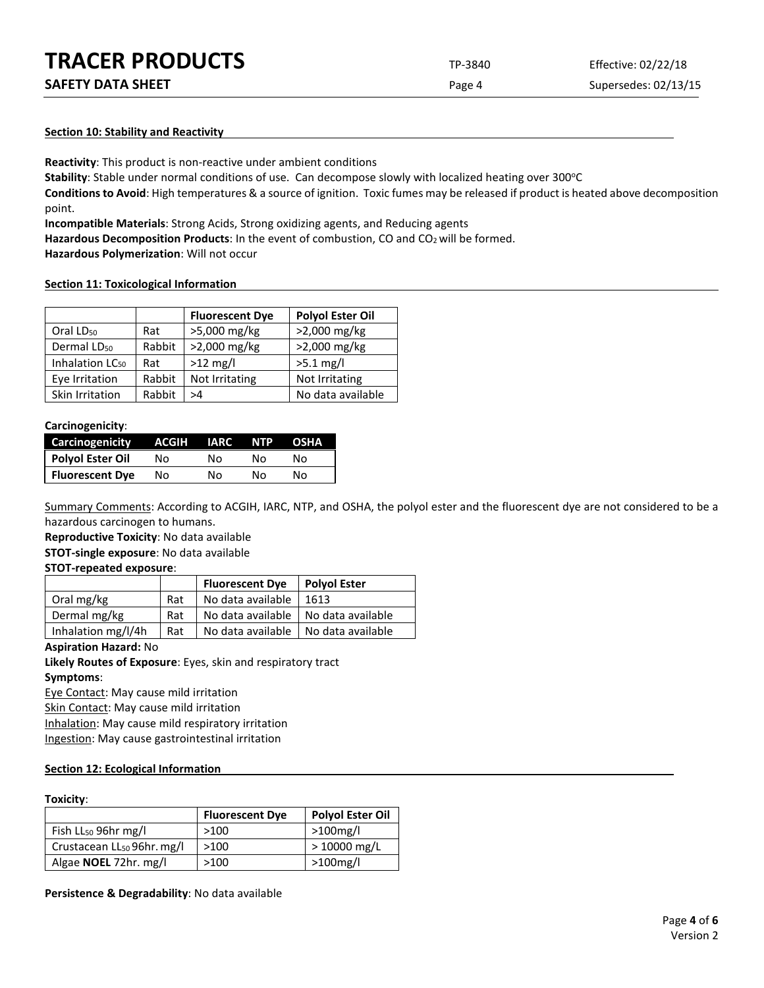| <b>TRACER PRODUCTS</b> | TP-3840 | Effective: 02/22/18 |
|------------------------|---------|---------------------|
|                        |         |                     |

**SAFETY DATA SHEET** SUPERFOUR SAFET ASSEMBLY 2004 THE Page 4 Supersedes: 02/13/15

### **Section 10: Stability and Reactivity**

**Reactivity**: This product is non-reactive under ambient conditions

Stability: Stable under normal conditions of use. Can decompose slowly with localized heating over 300°C

**Conditions to Avoid**: High temperatures & a source of ignition. Toxic fumes may be released if product is heated above decomposition point.

**Incompatible Materials**: Strong Acids, Strong oxidizing agents, and Reducing agents

Hazardous Decomposition Products: In the event of combustion, CO and CO<sub>2</sub> will be formed.

**Hazardous Polymerization**: Will not occur

#### **Section 11: Toxicological Information**

|                             |        | <b>Fluorescent Dye</b> | <b>Polyol Ester Oil</b> |
|-----------------------------|--------|------------------------|-------------------------|
| Oral LD <sub>50</sub>       | Rat    | >5,000 mg/kg           | >2,000 mg/kg            |
| Dermal LD <sub>50</sub>     | Rabbit | >2,000 mg/kg           | >2,000 mg/kg            |
| Inhalation LC <sub>50</sub> | Rat    | $>12$ mg/l             | $>5.1$ mg/l             |
| Eye Irritation              | Rabbit | Not Irritating         | Not Irritating          |
| Skin Irritation             | Rabbit | >4                     | No data available       |

#### **Carcinogenicity**:

| <b>Carcinogenicity</b> | ACGIH | <b>TIARC</b> | <b>NTP</b> | OSHA |
|------------------------|-------|--------------|------------|------|
| Polyol Ester Oil       | Nο    | N٥           | N٥         | Nο   |
| <b>Fluorescent Dye</b> | No    | No           | N٥         | N٥   |

Summary Comments: According to ACGIH, IARC, NTP, and OSHA, the polyol ester and the fluorescent dye are not considered to be a hazardous carcinogen to humans.

**Reproductive Toxicity**: No data available **STOT-single exposure**: No data available

#### **STOT-repeated exposure**:

|                    |     | <b>Fluorescent Dye</b>                | <b>Polyol Ester</b> |
|--------------------|-----|---------------------------------------|---------------------|
| Oral mg/kg         | Rat | No data available                     | 1613                |
| Dermal mg/kg       | Rat | No data available   No data available |                     |
| Inhalation mg/l/4h | Rat | No data available                     | No data available   |

#### **Aspiration Hazard:** No

**Likely Routes of Exposure**: Eyes, skin and respiratory tract **Symptoms**:

Eye Contact: May cause mild irritation

Skin Contact: May cause mild irritation

Inhalation: May cause mild respiratory irritation

Ingestion: May cause gastrointestinal irritation

#### **Section 12: Ecological Information**

#### **Toxicity**:

|                                        | <b>Fluorescent Dye</b> | <b>Polyol Ester Oil</b> |
|----------------------------------------|------------------------|-------------------------|
| Fish $LL_{50}$ 96hr mg/l               | >100                   | $>100$ mg/l             |
| Crustacean LL <sub>50</sub> 96hr. mg/l | >100                   | $>10000$ mg/L           |
| Algae <b>NOEL</b> 72hr. mg/l           | >100                   | $>100$ mg/l             |

**Persistence & Degradability**: No data available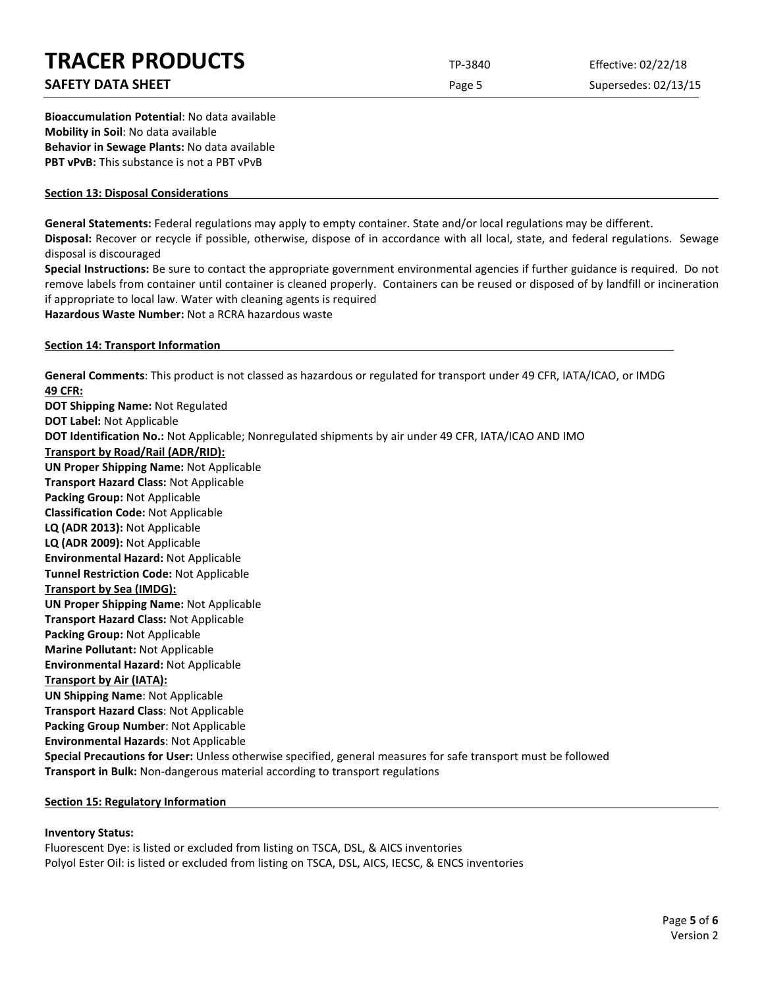# **SAFETY DATA SHEET** SUPERFOUR CONSIDERING Page 5 Supersedes: 02/13/15

**Bioaccumulation Potential**: No data available **Mobility in Soil**: No data available **Behavior in Sewage Plants:** No data available **PBT vPvB:** This substance is not a PBT vPvB

### **Section 13: Disposal Considerations**

**General Statements:** Federal regulations may apply to empty container. State and/or local regulations may be different.

**Disposal:** Recover or recycle if possible, otherwise, dispose of in accordance with all local, state, and federal regulations. Sewage disposal is discouraged

**Special Instructions:** Be sure to contact the appropriate government environmental agencies if further guidance is required. Do not remove labels from container until container is cleaned properly. Containers can be reused or disposed of by landfill or incineration if appropriate to local law. Water with cleaning agents is required

**Hazardous Waste Number:** Not a RCRA hazardous waste

### **Section 14: Transport Information**

**General Comments**: This product is not classed as hazardous or regulated for transport under 49 CFR, IATA/ICAO, or IMDG **49 CFR: DOT Shipping Name:** Not Regulated **DOT Label:** Not Applicable **DOT Identification No.:** Not Applicable; Nonregulated shipments by air under 49 CFR, IATA/ICAO AND IMO **Transport by Road/Rail (ADR/RID): UN Proper Shipping Name:** Not Applicable **Transport Hazard Class:** Not Applicable **Packing Group:** Not Applicable **Classification Code:** Not Applicable **LQ (ADR 2013):** Not Applicable **LQ (ADR 2009):** Not Applicable **Environmental Hazard:** Not Applicable **Tunnel Restriction Code:** Not Applicable **Transport by Sea (IMDG): UN Proper Shipping Name:** Not Applicable **Transport Hazard Class:** Not Applicable **Packing Group:** Not Applicable **Marine Pollutant:** Not Applicable **Environmental Hazard:** Not Applicable **Transport by Air (IATA): UN Shipping Name**: Not Applicable **Transport Hazard Class**: Not Applicable **Packing Group Number**: Not Applicable **Environmental Hazards**: Not Applicable **Special Precautions for User:** Unless otherwise specified, general measures for safe transport must be followed **Transport in Bulk:** Non-dangerous material according to transport regulations

# **Section 15: Regulatory Information**

# **Inventory Status:**

Fluorescent Dye: is listed or excluded from listing on TSCA, DSL, & AICS inventories Polyol Ester Oil: is listed or excluded from listing on TSCA, DSL, AICS, IECSC, & ENCS inventories